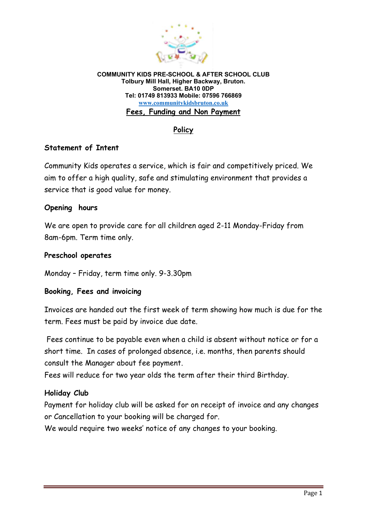

**COMMUNITY KIDS PRE-SCHOOL & AFTER SCHOOL CLUB Tolbury Mill Hall, Higher Backway, Bruton. Somerset. BA10 0DP Tel: 01749 813933 Mobile: 07596 766869 www.communitykidsbruton.co.uk Fees, Funding and Non Payment**

## **Policy**

### **Statement of Intent**

Community Kids operates a service, which is fair and competitively priced. We aim to offer a high quality, safe and stimulating environment that provides a service that is good value for money.

### **Opening hours**

We are open to provide care for all children aged 2-11 Monday-Friday from 8am-6pm. Term time only.

#### **Preschool operates**

Monday – Friday, term time only. 9-3.30pm

### **Booking, Fees and invoicing**

Invoices are handed out the first week of term showing how much is due for the term. Fees must be paid by invoice due date.

 Fees continue to be payable even when a child is absent without notice or for a short time. In cases of prolonged absence, i.e. months, then parents should consult the Manager about fee payment.

Fees will reduce for two year olds the term after their third Birthday.

## **Holiday Club**

Payment for holiday club will be asked for on receipt of invoice and any changes or Cancellation to your booking will be charged for.

We would require two weeks' notice of any changes to your booking.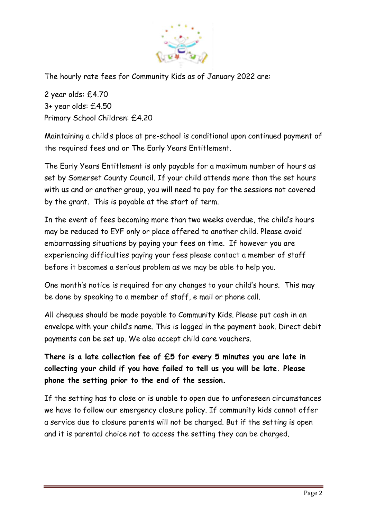

The hourly rate fees for Community Kids as of January 2022 are:

2 year olds: £4.70 3+ year olds: £4.50 Primary School Children: £4.20

Maintaining a child's place at pre-school is conditional upon continued payment of the required fees and or The Early Years Entitlement.

The Early Years Entitlement is only payable for a maximum number of hours as set by Somerset County Council. If your child attends more than the set hours with us and or another group, you will need to pay for the sessions not covered by the grant. This is payable at the start of term.

In the event of fees becoming more than two weeks overdue, the child's hours may be reduced to EYF only or place offered to another child. Please avoid embarrassing situations by paying your fees on time. If however you are experiencing difficulties paying your fees please contact a member of staff before it becomes a serious problem as we may be able to help you.

One month's notice is required for any changes to your child's hours. This may be done by speaking to a member of staff, e mail or phone call.

All cheques should be made payable to Community Kids. Please put cash in an envelope with your child's name. This is logged in the payment book. Direct debit payments can be set up. We also accept child care vouchers.

**There is a late collection fee of £5 for every 5 minutes you are late in collecting your child if you have failed to tell us you will be late. Please phone the setting prior to the end of the session.**

If the setting has to close or is unable to open due to unforeseen circumstances we have to follow our emergency closure policy. If community kids cannot offer a service due to closure parents will not be charged. But if the setting is open and it is parental choice not to access the setting they can be charged.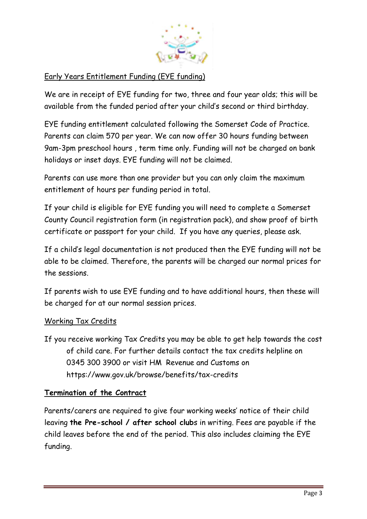

# Early Years Entitlement Funding (EYE funding)

We are in receipt of EYE funding for two, three and four year olds; this will be available from the funded period after your child's second or third birthday.

EYE funding entitlement calculated following the Somerset Code of Practice. Parents can claim 570 per year. We can now offer 30 hours funding between 9am-3pm preschool hours , term time only. Funding will not be charged on bank holidays or inset days. EYE funding will not be claimed.

Parents can use more than one provider but you can only claim the maximum entitlement of hours per funding period in total.

If your child is eligible for EYE funding you will need to complete a Somerset County Council registration form (in registration pack), and show proof of birth certificate or passport for your child. If you have any queries, please ask.

If a child's legal documentation is not produced then the EYE funding will not be able to be claimed. Therefore, the parents will be charged our normal prices for the sessions.

If parents wish to use EYE funding and to have additional hours, then these will be charged for at our normal session prices.

## Working Tax Credits

If you receive working Tax Credits you may be able to get help towards the cost of child care. For further details contact the tax credits helpline on 0345 300 3900 or visit HM Revenue and Customs on https://www.gov.uk/browse/benefits/tax-credits

## **Termination of the Contract**

Parents/carers are required to give four working weeks' notice of their child leaving **the Pre-school / after school club**s in writing. Fees are payable if the child leaves before the end of the period. This also includes claiming the EYE funding.